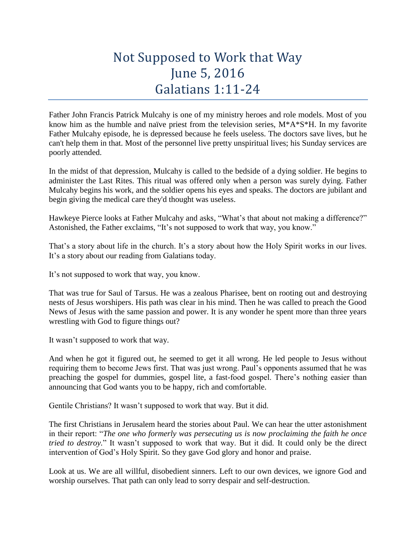## Not Supposed to Work that Way June 5, 2016 Galatians 1:11-24

Father John Francis Patrick Mulcahy is one of my ministry heroes and role models. Most of you know him as the humble and naïve priest from the television series, M\*A\*S\*H. In my favorite Father Mulcahy episode, he is depressed because he feels useless. The doctors save lives, but he can't help them in that. Most of the personnel live pretty unspiritual lives; his Sunday services are poorly attended.

In the midst of that depression, Mulcahy is called to the bedside of a dying soldier. He begins to administer the Last Rites. This ritual was offered only when a person was surely dying. Father Mulcahy begins his work, and the soldier opens his eyes and speaks. The doctors are jubilant and begin giving the medical care they'd thought was useless.

Hawkeye Pierce looks at Father Mulcahy and asks, "What's that about not making a difference?" Astonished, the Father exclaims, "It's not supposed to work that way, you know."

That's a story about life in the church. It's a story about how the Holy Spirit works in our lives. It's a story about our reading from Galatians today.

It's not supposed to work that way, you know.

That was true for Saul of Tarsus. He was a zealous Pharisee, bent on rooting out and destroying nests of Jesus worshipers. His path was clear in his mind. Then he was called to preach the Good News of Jesus with the same passion and power. It is any wonder he spent more than three years wrestling with God to figure things out?

It wasn't supposed to work that way.

And when he got it figured out, he seemed to get it all wrong. He led people to Jesus without requiring them to become Jews first. That was just wrong. Paul's opponents assumed that he was preaching the gospel for dummies, gospel lite, a fast-food gospel. There's nothing easier than announcing that God wants you to be happy, rich and comfortable.

Gentile Christians? It wasn't supposed to work that way. But it did.

The first Christians in Jerusalem heard the stories about Paul. We can hear the utter astonishment in their report: "*The one who formerly was persecuting us is now proclaiming the faith he once tried to destroy.*" It wasn't supposed to work that way. But it did. It could only be the direct intervention of God's Holy Spirit. So they gave God glory and honor and praise.

Look at us. We are all willful, disobedient sinners. Left to our own devices, we ignore God and worship ourselves. That path can only lead to sorry despair and self-destruction.